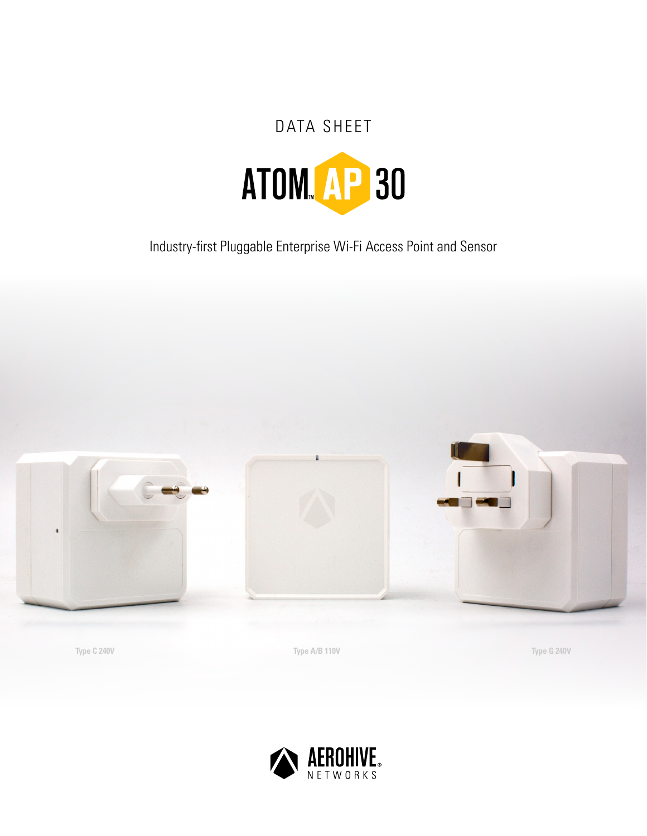# DATA SHEET ATOM AP 30

Industry-first Pluggable Enterprise Wi-Fi Access Point and Sensor



**Type C 240V Type A/B 110V Type G 240V**

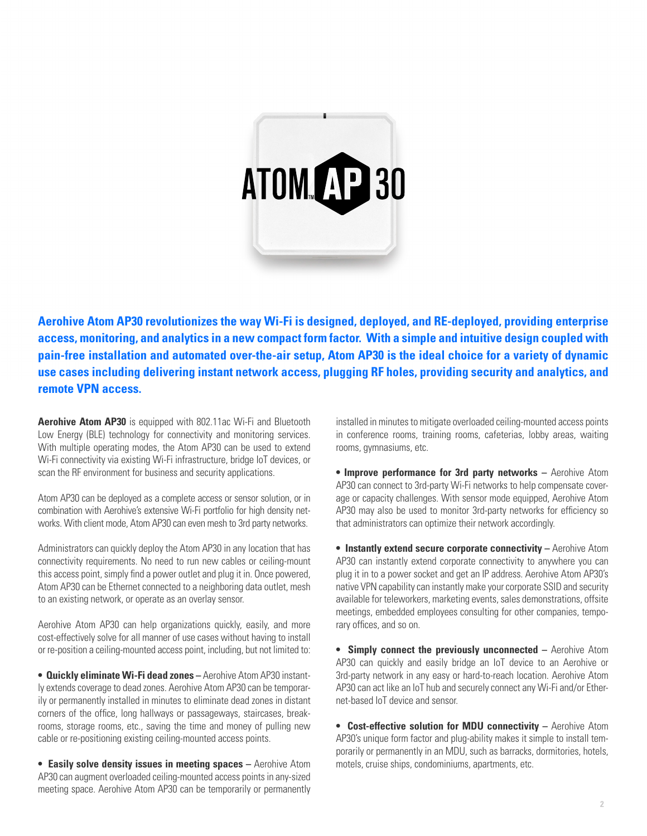

**Aerohive Atom AP30 revolutionizes the way Wi-Fi is designed, deployed, and RE-deployed, providing enterprise access, monitoring, and analytics in a new compact form factor. With a simple and intuitive design coupled with pain-free installation and automated over-the-air setup, Atom AP30 is the ideal choice for a variety of dynamic use cases including delivering instant network access, plugging RF holes, providing security and analytics, and remote VPN access.** 

**Aerohive Atom AP30** is equipped with 802.11ac Wi-Fi and Bluetooth Low Energy (BLE) technology for connectivity and monitoring services. With multiple operating modes, the Atom AP30 can be used to extend Wi-Fi connectivity via existing Wi-Fi infrastructure, bridge IoT devices, or scan the RF environment for business and security applications.

Atom AP30 can be deployed as a complete access or sensor solution, or in combination with Aerohive's extensive Wi-Fi portfolio for high density networks. With client mode, Atom AP30 can even mesh to 3rd party networks.

Administrators can quickly deploy the Atom AP30 in any location that has connectivity requirements. No need to run new cables or ceiling-mount this access point, simply find a power outlet and plug it in. Once powered, Atom AP30 can be Ethernet connected to a neighboring data outlet, mesh to an existing network, or operate as an overlay sensor.

Aerohive Atom AP30 can help organizations quickly, easily, and more cost-effectively solve for all manner of use cases without having to install or re-position a ceiling-mounted access point, including, but not limited to:

**• Quickly eliminate Wi-Fi dead zones –** Aerohive Atom AP30 instantly extends coverage to dead zones. Aerohive Atom AP30 can be temporarily or permanently installed in minutes to eliminate dead zones in distant corners of the office, long hallways or passageways, staircases, breakrooms, storage rooms, etc., saving the time and money of pulling new cable or re-positioning existing ceiling-mounted access points.

**• Easily solve density issues in meeting spaces –** Aerohive Atom AP30 can augment overloaded ceiling-mounted access points in any-sized meeting space. Aerohive Atom AP30 can be temporarily or permanently

installed in minutes to mitigate overloaded ceiling-mounted access points in conference rooms, training rooms, cafeterias, lobby areas, waiting rooms, gymnasiums, etc.

**• Improve performance for 3rd party networks –** Aerohive Atom AP30 can connect to 3rd-party Wi-Fi networks to help compensate coverage or capacity challenges. With sensor mode equipped, Aerohive Atom AP30 may also be used to monitor 3rd-party networks for efficiency so that administrators can optimize their network accordingly.

**• Instantly extend secure corporate connectivity - Aerohive Atom** AP30 can instantly extend corporate connectivity to anywhere you can plug it in to a power socket and get an IP address. Aerohive Atom AP30's native VPN capability can instantly make your corporate SSID and security available for teleworkers, marketing events, sales demonstrations, offsite meetings, embedded employees consulting for other companies, temporary offices, and so on.

**• Simply connect the previously unconnected –** Aerohive Atom AP30 can quickly and easily bridge an IoT device to an Aerohive or 3rd-party network in any easy or hard-to-reach location. Aerohive Atom AP30 can act like an IoT hub and securely connect any Wi-Fi and/or Ethernet-based IoT device and sensor.

**• Cost-effective solution for MDU connectivity –** Aerohive Atom AP30's unique form factor and plug-ability makes it simple to install temporarily or permanently in an MDU, such as barracks, dormitories, hotels, motels, cruise ships, condominiums, apartments, etc.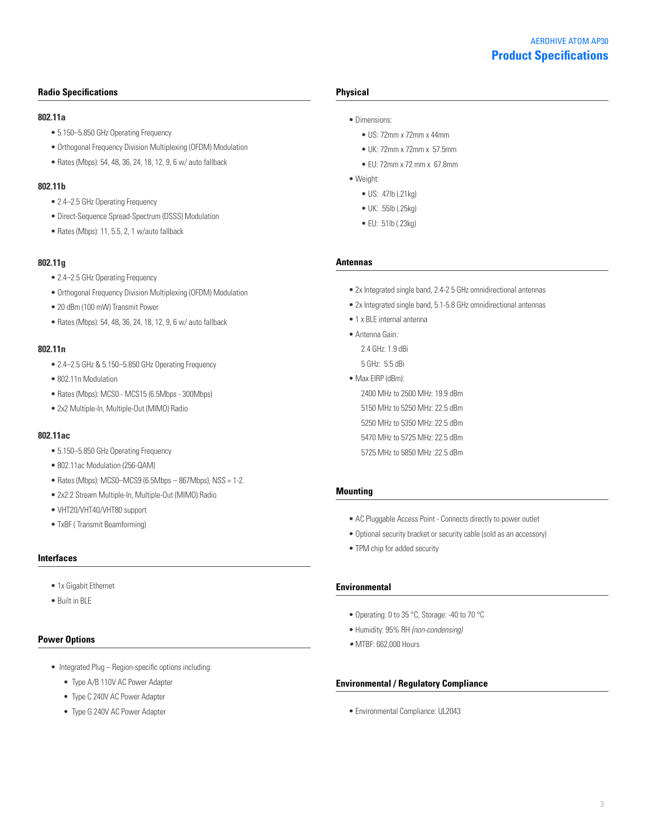# **Product Specifications** AEROHIVE ATOM AP30

#### **Radio Specifications**

#### **802.11a**

- 5.150–5.850 GHz Operating Frequency
- Orthogonal Frequency Division Multiplexing (OFDM) Modulation
- Rates (Mbps): 54, 48, 36, 24, 18, 12, 9, 6 w/ auto fallback

#### **802.11b**

- 2.4–2.5 GHz Operating Frequency
- Direct-Sequence Spread-Spectrum (DSSS) Modulation
- Rates (Mbps): 11, 5.5, 2, 1 w/auto fallback

#### **802.11g**

- 2.4–2.5 GHz Operating Frequency
- Orthogonal Frequency Division Multiplexing (OFDM) Modulation
- 20 dBm (100 mW) Transmit Power
- Rates (Mbps): 54, 48, 36, 24, 18, 12, 9, 6 w/ auto fallback

#### **802.11n**

- 2.4–2.5 GHz & 5.150–5.850 GHz Operating Frequency
- 802.11n Modulation
- Rates (Mbps): MCS0 MCS15 (6.5Mbps 300Mbps)
- 2x2 Multiple-In, Multiple-Out (MIMO) Radio

### **802.11ac**

- 5.150–5.850 GHz Operating Frequency
- 802.11ac Modulation (256-QAM)
- Rates (Mbps): MCS0–MCS9 (6.5Mbps 867Mbps), NSS = 1-2.
- 2x2:2 Stream Multiple-In, Multiple-Out (MIMO) Radio
- VHT20/VHT40/VHT80 support
- TxBF ( Transmit Beamforming)

## **Interfaces**

- 1x Gigabit Ethernet
- Built in BLE

#### **Power Options**

- Integrated Plug Region-specific options including:
	- Type A/B 110V AC Power Adapter
	- Type C 240V AC Power Adapter
	- Type G 240V AC Power Adapter

#### **Physical**

- Dimensions:
	- US: 72mm x 72mm x 44mm
	- UK: 72mm x 72mm x 57.5mm
	- EU: 72mm x 72 mm x 67.8mm
- Weight:
	- US: .47lb (.21kg)
	- UK: .55lb (.25kg)
	- EU: .51lb (.23kg)

#### **Antennas**

- 2x Integrated single band, 2.4-2.5 GHz omnidirectional antennas
- 2x Integrated single band, 5.1-5.8 GHz omnidirectional antennas
- 1 x BLE internal antenna
- Antenna Gain: 2.4 GHz: 1.9 dBi 5 GHz: 5.5 dBi
- Max EIRP (dBm): 2400 MHz to 2500 MHz: 19.9 dBm 5150 MHz to 5250 MHz: 22.5 dBm 5250 MHz to 5350 MHz: 22.5 dBm 5470 MHz to 5725 MHz: 22.5 dBm 5725 MHz to 5850 MHz :22.5 dBm

#### **Mounting**

- AC Pluggable Access Point Connects directly to power outlet
- Optional security bracket or security cable (sold as an accessory)
- TPM chip for added security

#### **Environmental**

- Operating: 0 to 35 °C, Storage: -40 to 70 °C
- Humidity: 95% RH *(non-condensing)*
- MTBF: 662,000 Hours

#### **Environmental / Regulatory Compliance**

• Environmental Compliance: UL2043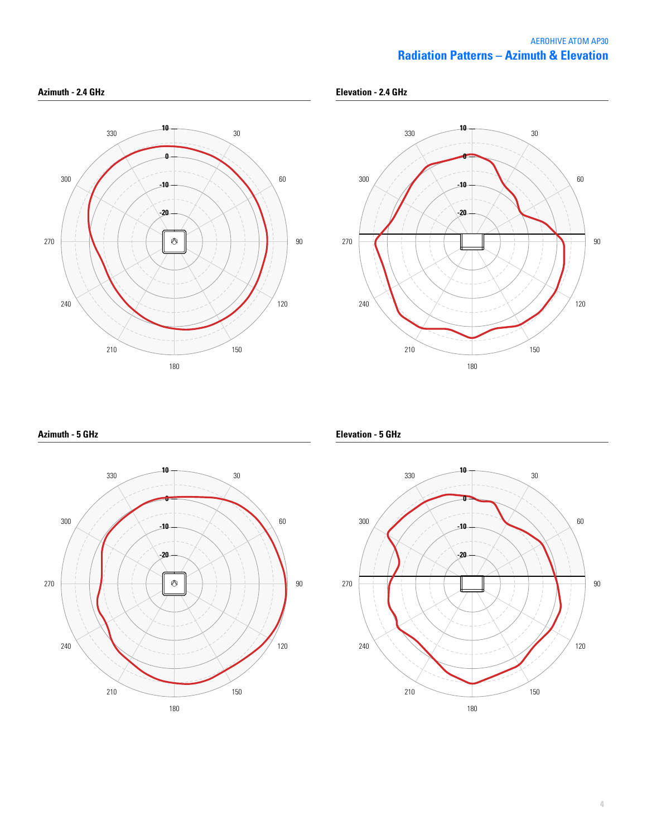# **Radiation Patterns – Azimuth & Elevation** AEROHIVE ATOM AP30





**Azimuth - 5 GHz**



**Elevation - 5 GHz**

**Elevation - 2.4 GHz**

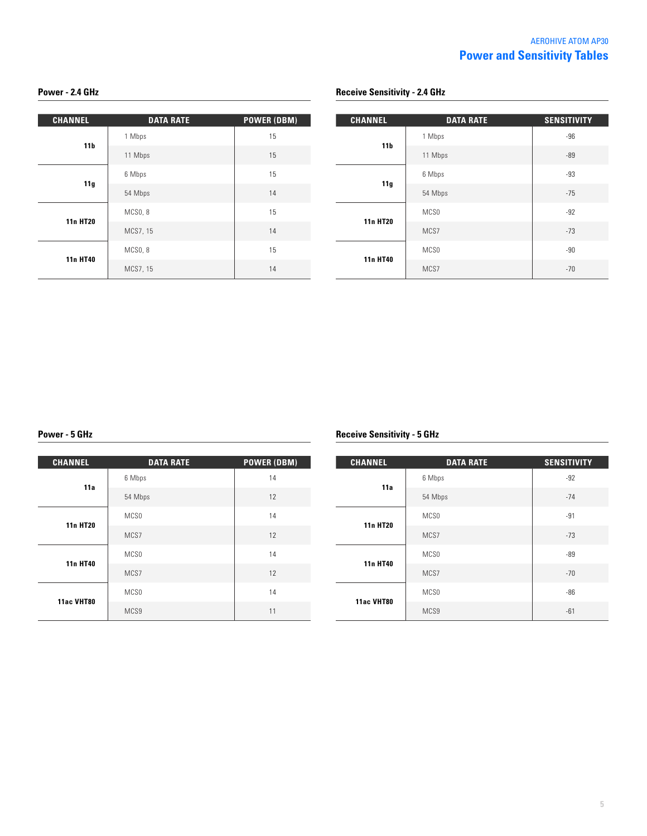| <b>CHANNEL</b>  | <b>DATA RATE</b> | <b>POWER (DBM)</b> |
|-----------------|------------------|--------------------|
| 11 <sub>b</sub> | 1 Mbps           | 15                 |
|                 | 11 Mbps          | 15                 |
| 11g             | 6 Mbps           | 15                 |
|                 | 54 Mbps          | 14                 |
| <b>11n HT20</b> | MCSO, 8          | 15                 |
|                 | MCS7, 15         | 14                 |
| 11n HT40        | MCSO, 8          | 15                 |
|                 | MCS7, 15         | 14                 |

### **Power - 2.4 GHz Power - 2.4 GHz Receive Sensitivity - 2.4 GHz**

| <b>CHANNEL</b>  | <b>DATA RATE</b> | <b>SENSITIVITY</b> |
|-----------------|------------------|--------------------|
|                 | 1 Mbps           | $-96$              |
| 11 <sub>b</sub> | 11 Mbps          | $-89$              |
|                 | 6 Mbps           | $-93$              |
| 11g             | 54 Mbps          | $-75$              |
| <b>11n HT20</b> | MCS <sub>0</sub> | $-92$              |
|                 | MCS7             | $-73$              |
|                 | MCS <sub>0</sub> | $-90$              |
| 11n HT40        | MCS7             | $-70$              |

| <b>CHANNEL</b>  | <b>DATA RATE</b> | <b>POWER (DBM)</b> |
|-----------------|------------------|--------------------|
| 11a             | 6 Mbps           | 14                 |
|                 | 54 Mbps          | 12                 |
| <b>11n HT20</b> | MCS <sub>0</sub> | 14                 |
|                 | MCS7             | 12                 |
| <b>11n HT40</b> | MCS <sub>0</sub> | 14                 |
|                 | MCS7             | 12                 |
| 11ac VHT80      | MCS <sub>0</sub> | 14                 |
|                 | MCS9             | 11                 |

# **Power - 5 GHz Receive Sensitivity - 5 GHz**

| <b>CHANNEL</b>  | <b>DATA RATE</b> | <b>SENSITIVITY</b> |
|-----------------|------------------|--------------------|
| 11a             | 6 Mbps           | $-92$              |
|                 | 54 Mbps          | $-74$              |
| <b>11n HT20</b> | MCS0             | $-91$              |
|                 | MCS7             | $-73$              |
| 11n HT40        | MCS <sub>0</sub> | $-89$              |
|                 | MCS7             | $-70$              |
| 11ac VHT80      | MCS <sub>0</sub> | $-86$              |
|                 | MCS9             | $-61$              |